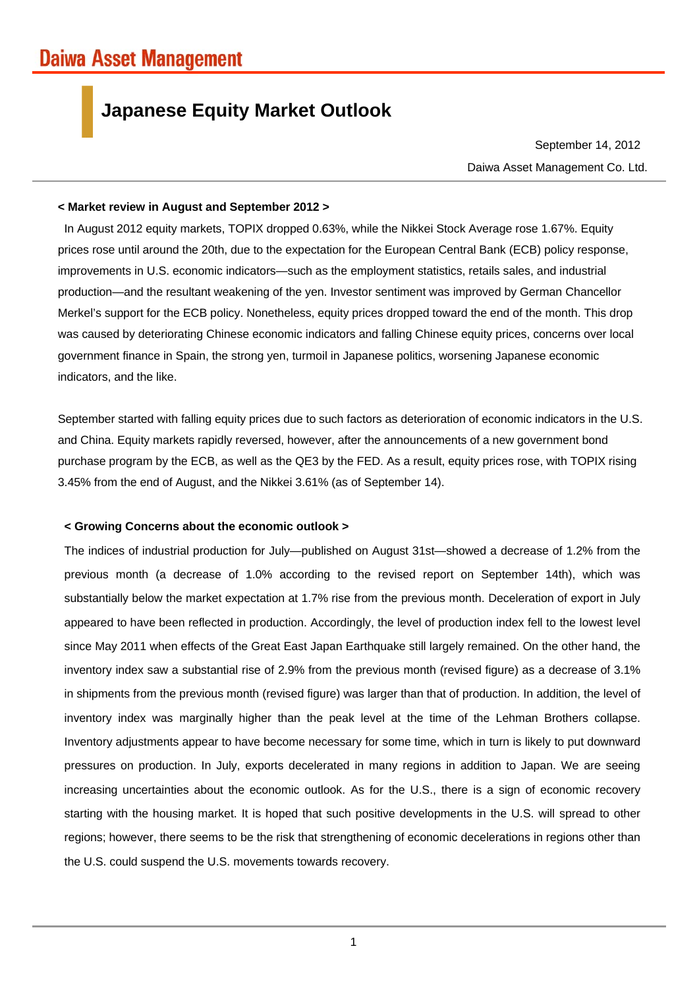# **Japanese Equity Market Outlook**

Daiwa Asset Management Co. Ltd. September 14, 2012

#### **< Market review in August and September 2012 >**

In August 2012 equity markets, TOPIX dropped 0.63%, while the Nikkei Stock Average rose 1.67%. Equity prices rose until around the 20th, due to the expectation for the European Central Bank (ECB) policy response, improvements in U.S. economic indicators—such as the employment statistics, retails sales, and industrial production—and the resultant weakening of the yen. Investor sentiment was improved by German Chancellor Merkel's support for the ECB policy. Nonetheless, equity prices dropped toward the end of the month. This drop was caused by deteriorating Chinese economic indicators and falling Chinese equity prices, concerns over local government finance in Spain, the strong yen, turmoil in Japanese politics, worsening Japanese economic indicators, and the like.

September started with falling equity prices due to such factors as deterioration of economic indicators in the U.S. and China. Equity markets rapidly reversed, however, after the announcements of a new government bond purchase program by the ECB, as well as the QE3 by the FED. As a result, equity prices rose, with TOPIX rising 3.45% from the end of August, and the Nikkei 3.61% (as of September 14).

## **< Growing Concerns about the economic outlook >**

The indices of industrial production for July—published on August 31st—showed a decrease of 1.2% from the previous month (a decrease of 1.0% according to the revised report on September 14th), which was substantially below the market expectation at 1.7% rise from the previous month. Deceleration of export in July appeared to have been reflected in production. Accordingly, the level of production index fell to the lowest level since May 2011 when effects of the Great East Japan Earthquake still largely remained. On the other hand, the inventory index saw a substantial rise of 2.9% from the previous month (revised figure) as a decrease of 3.1% in shipments from the previous month (revised figure) was larger than that of production. In addition, the level of inventory index was marginally higher than the peak level at the time of the Lehman Brothers collapse. Inventory adjustments appear to have become necessary for some time, which in turn is likely to put downward pressures on production. In July, exports decelerated in many regions in addition to Japan. We are seeing increasing uncertainties about the economic outlook. As for the U.S., there is a sign of economic recovery starting with the housing market. It is hoped that such positive developments in the U.S. will spread to other regions; however, there seems to be the risk that strengthening of economic decelerations in regions other than the U.S. could suspend the U.S. movements towards recovery.